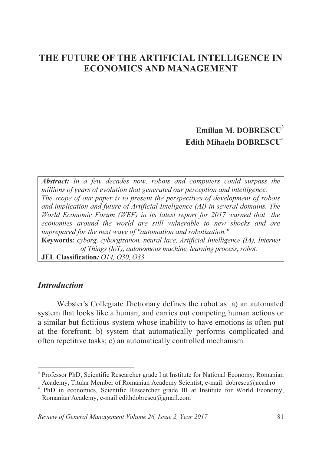# **THE FUTURE OF THE ARTIFICIAL INTELLIGENCE IN ECONOMICS AND MANAGEMENT**

# **Emilian M. DOBRESCU**<sup>3</sup> **Edith Mihaela DOBRESCU**<sup>4</sup>

*Abstract: In a few decades now, robots and computers could surpass the millions of years of evolution that generated our perception and intelligence. The scope of our paper is to present the perspectives of development of robots and implication and future of Artificial Inteligence (AI) in several domains. The World Economic Forum (WEF) in its latest report for 2017 warned that the economies around the world are still vulnerable to new shocks and are unprepared for the next wave of "automation and robotization."*  **Keywords***: cyborg, cyborgization, neural lace, Artificial Intelligence (IA), Internet of Things (IoT), autonomous machine, learning process, robot.*  **JEL Classification***: O14, O30, O33*

#### *Introduction*

 $\overline{a}$ 

Webster's Collegiate Dictionary defines the robot as: a) an automated system that looks like a human, and carries out competing human actions or a similar but fictitious system whose inability to have emotions is often put at the forefront; b) system that automatically performs complicated and often repetitive tasks; c) an automatically controlled mechanism.

<sup>&</sup>lt;sup>3</sup> Professor PhD, Scientific Researcher grade I at Institute for National Economy, Romanian

Academy, Titular Member of Romanian Academy Scientist, e-mail: dobrescu@acad.ro <sup>4</sup> PhD in economics, Scientific Researcher grade III at Institute for World Economy, Romanian Academy, e-mail:edithdobrescu@gmail.com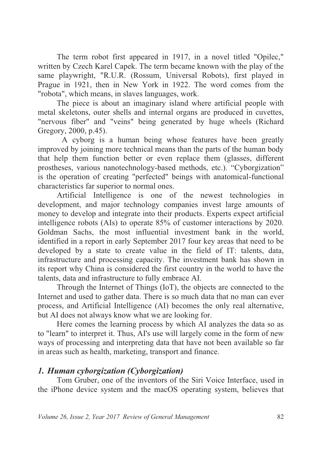The term robot first appeared in 1917, in a novel titled "Opilec," written by Czech Karel Capek. The term became known with the play of the same playwright, "R.U.R. (Rossum, Universal Robots), first played in Prague in 1921, then in New York in 1922. The word comes from the "robota", which means, in slaves languages, work.

The piece is about an imaginary island where artificial people with metal skeletons, outer shells and internal organs are produced in cuvettes, "nervous fiber" and "veins" being generated by huge wheels (Richard Gregory, 2000, p.45).

 A cyborg is a human being whose features have been greatly improved by joining more technical means than the parts of the human body that help them function better or even replace them (glasses, different prostheses, various nanotechnology-based methods, etc.). "Cyborgization" is the operation of creating "perfected" beings with anatomical-functional characteristics far superior to normal ones.

Artificial Intelligence is one of the newest technologies in development, and major technology companies invest large amounts of money to develop and integrate into their products. Experts expect artificial intelligence robots (AIs) to operate 85% of customer interactions by 2020. Goldman Sachs, the most influential investment bank in the world, identified in a report in early September 2017 four key areas that need to be developed by a state to create value in the field of IT: talents, data, infrastructure and processing capacity. The investment bank has shown in its report why China is considered the first country in the world to have the talents, data and infrastructure to fully embrace AI.

Through the Internet of Things (IoT), the objects are connected to the Internet and used to gather data. There is so much data that no man can ever process, and Artificial Intelligence (AI) becomes the only real alternative, but AI does not always know what we are looking for.

Here comes the learning process by which AI analyzes the data so as to "learn" to interpret it. Thus, AI's use will largely come in the form of new ways of processing and interpreting data that have not been available so far in areas such as health, marketing, transport and finance.

### *1. Human cyborgization (Cyborgization)*

Tom Gruber, one of the inventors of the Siri Voice Interface, used in the iPhone device system and the macOS operating system, believes that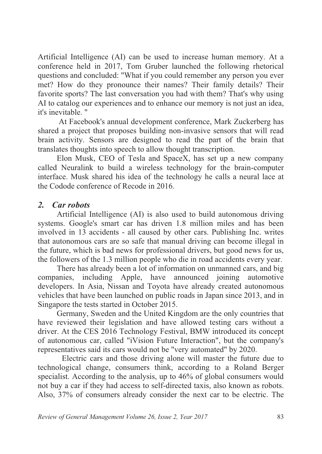Artificial Intelligence (AI) can be used to increase human memory. At a conference held in 2017, Tom Gruber launched the following rhetorical questions and concluded: "What if you could remember any person you ever met? How do they pronounce their names? Their family details? Their favorite sports? The last conversation you had with them? That's why using AI to catalog our experiences and to enhance our memory is not just an idea, it's inevitable. "

 At Facebook's annual development conference, Mark Zuckerberg has shared a project that proposes building non-invasive sensors that will read brain activity. Sensors are designed to read the part of the brain that translates thoughts into speech to allow thought transcription.

Elon Musk, CEO of Tesla and SpaceX, has set up a new company called Neuralink to build a wireless technology for the brain-computer interface. Musk shared his idea of the technology he calls a neural lace at the Codode conference of Recode in 2016.

### *2. Car robots*

Artificial Intelligence (AI) is also used to build autonomous driving systems. Google's smart car has driven 1.8 million miles and has been involved in 13 accidents - all caused by other cars. Publishing Inc. writes that autonomous cars are so safe that manual driving can become illegal in the future, which is bad news for professional drivers, but good news for us, the followers of the 1.3 million people who die in road accidents every year.

There has already been a lot of information on unmanned cars, and big companies, including Apple, have announced joining automotive developers. In Asia, Nissan and Toyota have already created autonomous vehicles that have been launched on public roads in Japan since 2013, and in Singapore the tests started in October 2015.

Germany, Sweden and the United Kingdom are the only countries that have reviewed their legislation and have allowed testing cars without a driver. At the CES 2016 Technology Festival, BMW introduced its concept of autonomous car, called "iVision Future Interaction", but the company's representatives said its cars would not be "very automated" by 2020.

Electric cars and those driving alone will master the future due to technological change, consumers think, according to a Roland Berger specialist. According to the analysis, up to 46% of global consumers would not buy a car if they had access to self-directed taxis, also known as robots. Also, 37% of consumers already consider the next car to be electric. The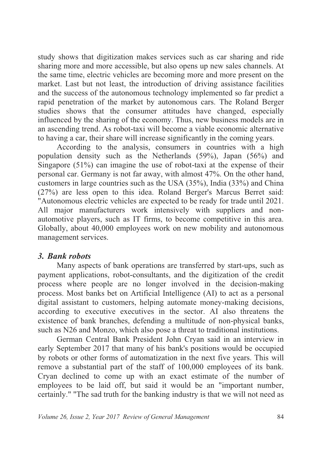study shows that digitization makes services such as car sharing and ride sharing more and more accessible, but also opens up new sales channels. At the same time, electric vehicles are becoming more and more present on the market. Last but not least, the introduction of driving assistance facilities and the success of the autonomous technology implemented so far predict a rapid penetration of the market by autonomous cars. The Roland Berger studies shows that the consumer attitudes have changed, especially influenced by the sharing of the economy. Thus, new business models are in an ascending trend. As robot-taxi will become a viable economic alternative to having a car, their share will increase significantly in the coming years.

According to the analysis, consumers in countries with a high population density such as the Netherlands (59%), Japan (56%) and Singapore (51%) can imagine the use of robot-taxi at the expense of their personal car. Germany is not far away, with almost 47%. On the other hand, customers in large countries such as the USA (35%), India (33%) and China (27%) are less open to this idea. Roland Berger's Marcus Berret said: "Autonomous electric vehicles are expected to be ready for trade until 2021. All major manufacturers work intensively with suppliers and nonautomotive players, such as IT firms, to become competitive in this area. Globally, about 40,000 employees work on new mobility and autonomous management services.

#### *3. Bank robots*

Many aspects of bank operations are transferred by start-ups, such as payment applications, robot-consultants, and the digitization of the credit process where people are no longer involved in the decision-making process. Most banks bet on Artificial Intelligence (AI) to act as a personal digital assistant to customers, helping automate money-making decisions, according to executive executives in the sector. AI also threatens the existence of bank branches, defending a multitude of non-physical banks, such as N26 and Monzo, which also pose a threat to traditional institutions.

German Central Bank President John Cryan said in an interview in early September 2017 that many of his bank's positions would be occupied by robots or other forms of automatization in the next five years. This will remove a substantial part of the staff of 100,000 employees of its bank. Cryan declined to come up with an exact estimate of the number of employees to be laid off, but said it would be an "important number, certainly." "The sad truth for the banking industry is that we will not need as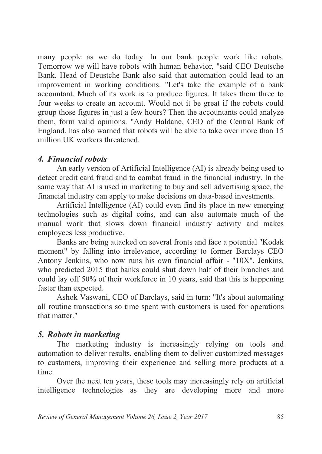many people as we do today. In our bank people work like robots. Tomorrow we will have robots with human behavior, "said CEO Deutsche Bank. Head of Deustche Bank also said that automation could lead to an improvement in working conditions. "Let's take the example of a bank accountant. Much of its work is to produce figures. It takes them three to four weeks to create an account. Would not it be great if the robots could group those figures in just a few hours? Then the accountants could analyze them, form valid opinions. "Andy Haldane, CEO of the Central Bank of England, has also warned that robots will be able to take over more than 15 million UK workers threatened.

# *4. Financial robots*

An early version of Artificial Intelligence (AI) is already being used to detect credit card fraud and to combat fraud in the financial industry. In the same way that AI is used in marketing to buy and sell advertising space, the financial industry can apply to make decisions on data-based investments.

Artificial Intelligence (AI) could even find its place in new emerging technologies such as digital coins, and can also automate much of the manual work that slows down financial industry activity and makes employees less productive.

Banks are being attacked on several fronts and face a potential "Kodak moment" by falling into irrelevance, according to former Barclays CEO Antony Jenkins, who now runs his own financial affair - "10X". Jenkins, who predicted 2015 that banks could shut down half of their branches and could lay off 50% of their workforce in 10 years, said that this is happening faster than expected.

Ashok Vaswani, CEO of Barclays, said in turn: "It's about automating all routine transactions so time spent with customers is used for operations that matter."

# *5. Robots in marketing*

The marketing industry is increasingly relying on tools and automation to deliver results, enabling them to deliver customized messages to customers, improving their experience and selling more products at a time.

Over the next ten years, these tools may increasingly rely on artificial intelligence technologies as they are developing more and more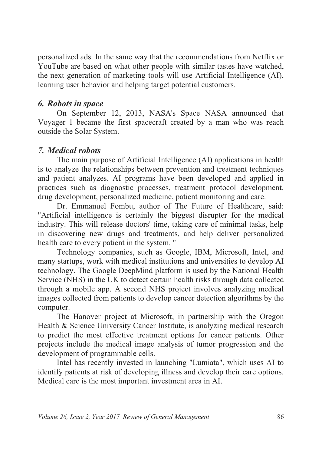personalized ads. In the same way that the recommendations from Netflix or YouTube are based on what other people with similar tastes have watched, the next generation of marketing tools will use Artificial Intelligence (AI), learning user behavior and helping target potential customers.

### *6. Robots in space*

On September 12, 2013, NASA's Space NASA announced that Voyager 1 became the first spacecraft created by a man who was reach outside the Solar System.

# *7. Medical robots*

The main purpose of Artificial Intelligence (AI) applications in health is to analyze the relationships between prevention and treatment techniques and patient analyzes. AI programs have been developed and applied in practices such as diagnostic processes, treatment protocol development, drug development, personalized medicine, patient monitoring and care.

Dr. Emmanuel Fombu, author of The Future of Healthcare, said: "Artificial intelligence is certainly the biggest disrupter for the medical industry. This will release doctors' time, taking care of minimal tasks, help in discovering new drugs and treatments, and help deliver personalized health care to every patient in the system. "

Technology companies, such as Google, IBM, Microsoft, Intel, and many startups, work with medical institutions and universities to develop AI technology. The Google DeepMind platform is used by the National Health Service (NHS) in the UK to detect certain health risks through data collected through a mobile app. A second NHS project involves analyzing medical images collected from patients to develop cancer detection algorithms by the computer.

The Hanover project at Microsoft, in partnership with the Oregon Health & Science University Cancer Institute, is analyzing medical research to predict the most effective treatment options for cancer patients. Other projects include the medical image analysis of tumor progression and the development of programmable cells.

Intel has recently invested in launching "Lumiata", which uses AI to identify patients at risk of developing illness and develop their care options. Medical care is the most important investment area in AI.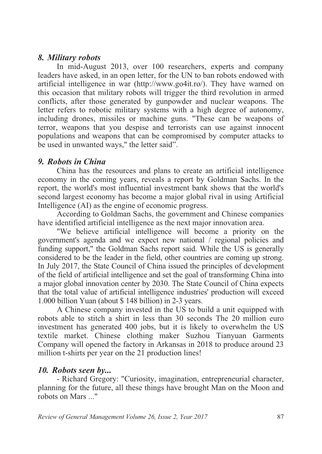#### *8. Military robots*

In mid-August 2013, over 100 researchers, experts and company leaders have asked, in an open letter, for the UN to ban robots endowed with artificial intelligence in war (http://www.go4it.ro/). They have warned on this occasion that military robots will trigger the third revolution in armed conflicts, after those generated by gunpowder and nuclear weapons. The letter refers to robotic military systems with a high degree of autonomy, including drones, missiles or machine guns. "These can be weapons of terror, weapons that you despise and terrorists can use against innocent populations and weapons that can be compromised by computer attacks to be used in unwanted ways," the letter said".

#### *9. Robots in China*

China has the resources and plans to create an artificial intelligence economy in the coming years, reveals a report by Goldman Sachs. In the report, the world's most influential investment bank shows that the world's second largest economy has become a major global rival in using Artificial Intelligence (AI) as the engine of economic progress.

According to Goldman Sachs, the government and Chinese companies have identified artificial intelligence as the next major innovation area.

"We believe artificial intelligence will become a priority on the government's agenda and we expect new national / regional policies and funding support," the Goldman Sachs report said. While the US is generally considered to be the leader in the field, other countries are coming up strong. In July 2017, the State Council of China issued the principles of development of the field of artificial intelligence and set the goal of transforming China into a major global innovation center by 2030. The State Council of China expects that the total value of artificial intelligence industries' production will exceed 1.000 billion Yuan (about \$ 148 billion) in 2-3 years.

A Chinese company invested in the US to build a unit equipped with robots able to stitch a shirt in less than 30 seconds The 20 million euro investment has generated 400 jobs, but it is likely to overwhelm the US textile market. Chinese clothing maker Suzhou Tianyuan Garments Company will opened the factory in Arkansas in 2018 to produce around 23 million t-shirts per year on the 21 production lines!

### *10. Robots seen by...*

- Richard Gregory: "Curiosity, imagination, entrepreneurial character, planning for the future, all these things have brought Man on the Moon and robots on Mars ..."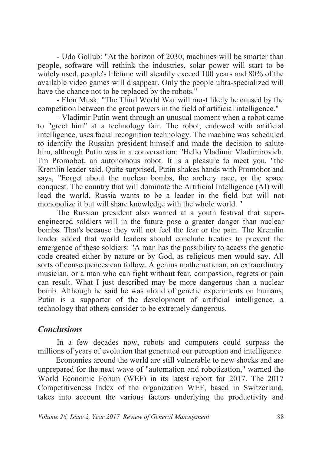- Udo Gollub: "At the horizon of 2030, machines will be smarter than people, software will rethink the industries, solar power will start to be widely used, people's lifetime will steadily exceed 100 years and 80% of the available video games will disappear. Only the people ultra-specialized will have the chance not to be replaced by the robots."

- Elon Musk: "The Third World War will most likely be caused by the competition between the great powers in the field of artificial intelligence."

- Vladimir Putin went through an unusual moment when a robot came to "greet him" at a technology fair. The robot, endowed with artificial intelligence, uses facial recognition technology. The machine was scheduled to identify the Russian president himself and made the decision to salute him, although Putin was in a conversation: "Hello Vladimir Vladimirovich. I'm Promobot, an autonomous robot. It is a pleasure to meet you, "the Kremlin leader said. Quite surprised, Putin shakes hands with Promobot and says, "Forget about the nuclear bombs, the archery race, or the space conquest. The country that will dominate the Artificial Intelligence (AI) will lead the world. Russia wants to be a leader in the field but will not monopolize it but will share knowledge with the whole world. "

The Russian president also warned at a youth festival that superengineered soldiers will in the future pose a greater danger than nuclear bombs. That's because they will not feel the fear or the pain. The Kremlin leader added that world leaders should conclude treaties to prevent the emergence of these soldiers: "A man has the possibility to access the genetic code created either by nature or by God, as religious men would say. All sorts of consequences can follow. A genius mathematician, an extraordinary musician, or a man who can fight without fear, compassion, regrets or pain can result. What I just described may be more dangerous than a nuclear bomb. Although he said he was afraid of genetic experiments on humans, Putin is a supporter of the development of artificial intelligence, a technology that others consider to be extremely dangerous.

#### *Conclusions*

In a few decades now, robots and computers could surpass the millions of years of evolution that generated our perception and intelligence.

 Economies around the world are still vulnerable to new shocks and are unprepared for the next wave of "automation and robotization," warned the World Economic Forum (WEF) in its latest report for 2017. The 2017 Competitiveness Index of the organization WEF, based in Switzerland, takes into account the various factors underlying the productivity and